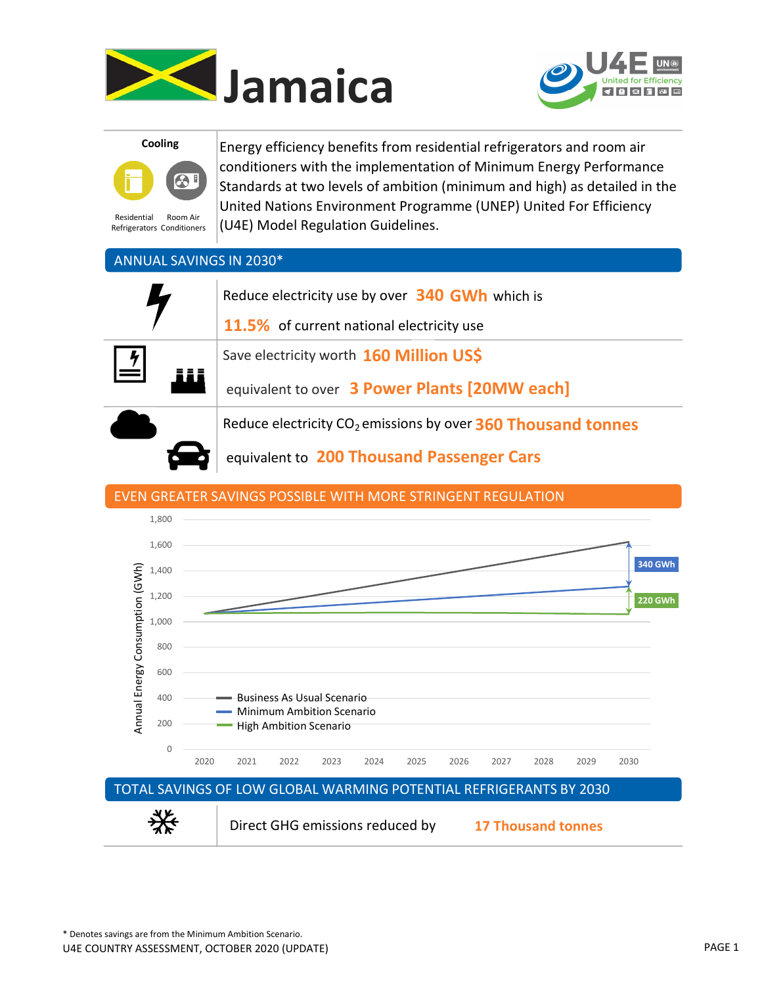





Residential Refrigerators Conditioners Room Air

Energy efficiency benefits from residential refrigerators and room air conditioners with the implementation of Minimum Energy Performance Standards at two levels of ambition (minimum and high) as detailed in the United Nations Environment Programme (UNEP) United For Efficiency (U4E) Model Regulation Guidelines.

### ANNUAL SAVINGS IN 2030\*

| Reduce electricity use by over 340 GWh which is<br><b>11.5%</b> of current national electricity use |  |
|-----------------------------------------------------------------------------------------------------|--|
| Save electricity worth 160 Million US\$<br>$\overline{\mathbf{r}}$                                  |  |
| equivalent to over 3 Power Plants [20MW each]                                                       |  |
| Reduce electricity CO <sub>2</sub> emissions by over 360 Thousand tonnes                            |  |

equivalent to 200 Thousand Passenger Cars

### EVEN GREATER SAVINGS POSSIBLE WITH MORE STRINGENT REGULATION

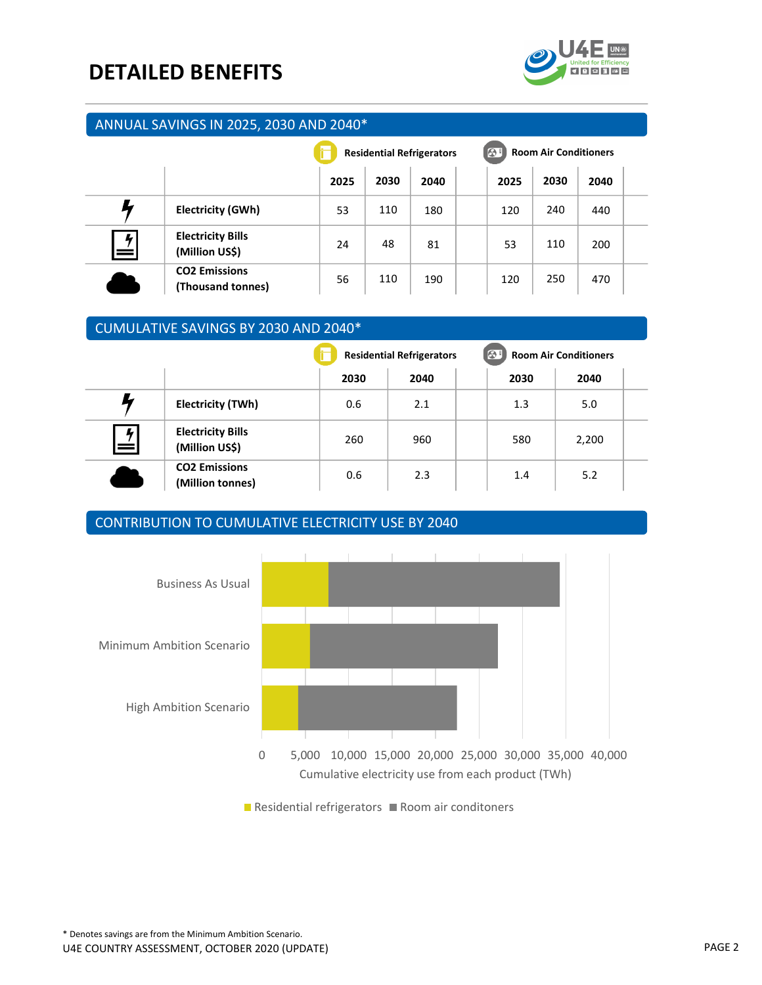## DETAILED BENEFITS



#### ANNUAL SAVINGS IN 2025, 2030 AND 2040\*

|                      |                                            | <b>Residential Refrigerators</b> |      |      | $\bullet$<br><b>Room Air Conditioners</b> |      |      |  |
|----------------------|--------------------------------------------|----------------------------------|------|------|-------------------------------------------|------|------|--|
|                      |                                            | 2025                             | 2030 | 2040 | 2025                                      | 2030 | 2040 |  |
|                      | <b>Electricity (GWh)</b>                   | 53                               | 110  | 180  | 120                                       | 240  | 440  |  |
| $\frac{1}{\pi}$<br>= | <b>Electricity Bills</b><br>(Million US\$) | 24                               | 48   | 81   | 53                                        | 110  | 200  |  |
|                      | <b>CO2 Emissions</b><br>(Thousand tonnes)  | 56                               | 110  | 190  | 120                                       | 250  | 470  |  |

## CUMULATIVE SAVINGS BY 2030 AND 2040\*

|        |                                            |      | <b>Residential Refrigerators</b> | $\bigcirc$ | <b>Room Air Conditioners</b> |  |  |
|--------|--------------------------------------------|------|----------------------------------|------------|------------------------------|--|--|
|        |                                            | 2030 | 2040                             | 2030       | 2040                         |  |  |
|        | Electricity (TWh)                          | 0.6  | 2.1                              | 1.3        | 5.0                          |  |  |
| 4<br>= | <b>Electricity Bills</b><br>(Million US\$) | 260  | 960                              | 580        | 2,200                        |  |  |
|        | <b>CO2 Emissions</b><br>(Million tonnes)   | 0.6  | 2.3                              | 1.4        | 5.2                          |  |  |

#### CONTRIBUTION TO CUMULATIVE ELECTRICITY USE BY 2040



 $\blacksquare$  Residential refrigerators  $\blacksquare$  Room air conditoners